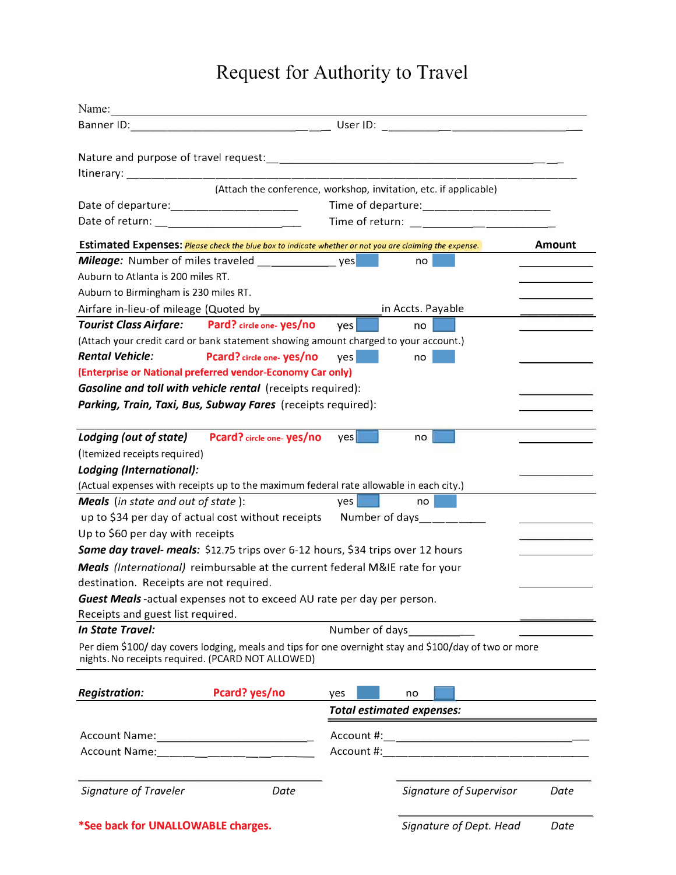## **Request for Authority to Travel**

| Name:                                     |                                                                                                        |                  |                                                                                                                                                                                                                                      |        |  |
|-------------------------------------------|--------------------------------------------------------------------------------------------------------|------------------|--------------------------------------------------------------------------------------------------------------------------------------------------------------------------------------------------------------------------------------|--------|--|
|                                           |                                                                                                        |                  |                                                                                                                                                                                                                                      |        |  |
|                                           |                                                                                                        |                  |                                                                                                                                                                                                                                      |        |  |
|                                           |                                                                                                        |                  |                                                                                                                                                                                                                                      |        |  |
|                                           |                                                                                                        |                  | (Attach the conference, workshop, invitation, etc. if applicable)                                                                                                                                                                    |        |  |
|                                           | Date of departure: ___________________                                                                 |                  | Time of departure: _____________________                                                                                                                                                                                             |        |  |
|                                           | Date of return: ________________________________                                                       |                  | Time of return: <u>contract the contract of the contract of the contract of the contract of the contract of the contract of the contract of the contract of the contract of the contract of the contract of the contract of the </u> |        |  |
|                                           | Estimated Expenses: Please check the blue box to indicate whether or not you are claiming the expense. |                  |                                                                                                                                                                                                                                      | Amount |  |
|                                           | <b>Mileage:</b> Number of miles traveled _______________________ yes                                   |                  | no                                                                                                                                                                                                                                   |        |  |
| Auburn to Atlanta is 200 miles RT.        |                                                                                                        |                  |                                                                                                                                                                                                                                      |        |  |
| Auburn to Birmingham is 230 miles RT.     |                                                                                                        |                  |                                                                                                                                                                                                                                      |        |  |
|                                           |                                                                                                        |                  | in Accts. Payable                                                                                                                                                                                                                    |        |  |
|                                           | Tourist Class Airfare: Pard? circle one-yes/no                                                         | ves <sub>l</sub> | no                                                                                                                                                                                                                                   |        |  |
|                                           | (Attach your credit card or bank statement showing amount charged to your account.)                    |                  |                                                                                                                                                                                                                                      |        |  |
| <b>Rental Vehicle:</b>                    | Pcard? circle one-yes/no                                                                               | Yes <sub>l</sub> | no                                                                                                                                                                                                                                   |        |  |
|                                           | (Enterprise or National preferred vendor-Economy Car only)                                             |                  |                                                                                                                                                                                                                                      |        |  |
|                                           | Gasoline and toll with vehicle rental (receipts required):                                             |                  |                                                                                                                                                                                                                                      |        |  |
|                                           | Parking, Train, Taxi, Bus, Subway Fares (receipts required):                                           |                  |                                                                                                                                                                                                                                      |        |  |
|                                           |                                                                                                        |                  |                                                                                                                                                                                                                                      |        |  |
|                                           | Lodging (out of state) Pcard? circle one-yes/no                                                        | yes              | no                                                                                                                                                                                                                                   |        |  |
| (Itemized receipts required)              |                                                                                                        |                  |                                                                                                                                                                                                                                      |        |  |
| Lodging (International):                  |                                                                                                        |                  |                                                                                                                                                                                                                                      |        |  |
|                                           | (Actual expenses with receipts up to the maximum federal rate allowable in each city.)                 |                  |                                                                                                                                                                                                                                      |        |  |
| <b>Meals</b> (in state and out of state): |                                                                                                        | Yes              | no                                                                                                                                                                                                                                   |        |  |
|                                           | up to \$34 per day of actual cost without receipts                                                     |                  | Number of days<br><u>_____</u>                                                                                                                                                                                                       |        |  |
| Up to \$60 per day with receipts          |                                                                                                        |                  |                                                                                                                                                                                                                                      |        |  |
|                                           | Same day travel- meals: \$12.75 trips over 6-12 hours, \$34 trips over 12 hours                        |                  |                                                                                                                                                                                                                                      |        |  |
|                                           | Meals (International) reimbursable at the current federal M&IE rate for your                           |                  |                                                                                                                                                                                                                                      |        |  |
| destination. Receipts are not required.   |                                                                                                        |                  |                                                                                                                                                                                                                                      |        |  |
|                                           | Guest Meals-actual expenses not to exceed AU rate per day per person.                                  |                  |                                                                                                                                                                                                                                      |        |  |
| Receipts and guest list required.         |                                                                                                        |                  |                                                                                                                                                                                                                                      |        |  |
| <b>In State Travel:</b><br>Number of days |                                                                                                        |                  |                                                                                                                                                                                                                                      |        |  |
|                                           | nights. No receipts required. (PCARD NOT ALLOWED)                                                      |                  | Per diem \$100/ day covers lodging, meals and tips for one overnight stay and \$100/day of two or more                                                                                                                               |        |  |
|                                           |                                                                                                        |                  |                                                                                                                                                                                                                                      |        |  |
| <b>Registration:</b>                      | Pcard? yes/no                                                                                          | yes              | no                                                                                                                                                                                                                                   |        |  |
|                                           |                                                                                                        |                  | <b>Total estimated expenses:</b>                                                                                                                                                                                                     |        |  |
|                                           |                                                                                                        |                  |                                                                                                                                                                                                                                      |        |  |
|                                           | Account Name: ___ __ _ _ __ _ _ __ _                                                                   |                  | Account #: the state of the state of the state of the state of the state of the state of the state of the state of the state of the state of the state of the state of the state of the state of the state of the state of the       |        |  |
|                                           |                                                                                                        |                  |                                                                                                                                                                                                                                      |        |  |
| Signature of Traveler                     | Date                                                                                                   |                  | Signature of Supervisor                                                                                                                                                                                                              | Date   |  |
|                                           |                                                                                                        |                  |                                                                                                                                                                                                                                      |        |  |
| *See back for UNALLOWABLE charges.        |                                                                                                        |                  | Signature of Dept. Head                                                                                                                                                                                                              | Date   |  |
|                                           |                                                                                                        |                  |                                                                                                                                                                                                                                      |        |  |